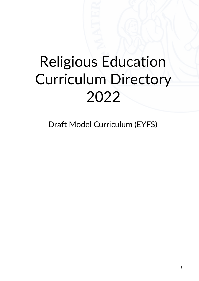# Religious Education Curriculum Directory 2022

Draft Model Curriculum (EYFS)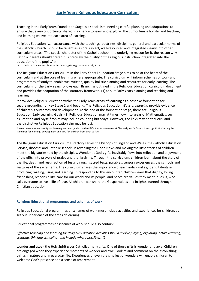# **Early Years Religious Education Curriculum**

Teaching in the Early Years Foundation Stage is a specialism, needing careful planning and adaptations to ensure that every opportunity shared is a chance to learn and explore. The curriculum is holistic and teaching and learning weave into each area of learning.

Religious Education "…in accordance with the teachings, doctrines, discipline, general and particular norms of the Catholic Church" should be taught as a core subject, well-resourced and integrated clearly into other curriculum areas. "The special character of the Catholic school, the underlying reason for it, the reason why Catholic parents should prefer it, is precisely the quality of the religious instruction integrated into the education of the pupils." (1)

1. Code of Canon Law, Christ at the Centre, p20 Mgr. Marcus Stock, 2012

The Religious Education Curriculum in the Early Years Foundation Stage aims to be at the heart of the curriculum and at the core of learning where appropriate. The curriculum will inform schemes of work and programmes of study to enable well written, quality holistic planning and resources for early learning. The curriculum for the Early Years follows each Branch as outlined in the Religious Education curriculum document and provides the adaptation of the statutory framework (1) to suit Early Years planning and teaching and learning.

It provides Religious Education within the Early Years **areas of learning** as a bespoke foundation for secure grounding for Key Stage 1 and beyond. The Religious Education *Ways of Knowing* provide evidence of children's outcomes and development. At the end of the foundation stage, there are Religious Education Early Learning Goals. (2) Religious Education may at times flow into areas of Mathematics, such as Creation and Myself topics may include counting birthdays. However, the links may be tenuous, and the distinctive Religious Education aim may be lost.

The curriculum for early religious learning has been guided by the DfE's Statutory framework the early year's foundation stage 2021 - Setting the standards for learning, development and care for children from birth to five

The Religious Education Curriculum Directory serves the Bishops of England and Wales, the Catholic Education Service, diocese' and Catholic schools in revealing the Good News and making the little stories of children meet the big stories told by the disciples. Wonder at God's gifts inevitably flows into reflection and enjoyment of the gifts, into prayers of praise and thanksgiving. Through the curriculum, children learn about the story of the life, death and resurrection of Jesus through sacred texts, parables, sensory experiences, the symbols and gestures of the sacraments. The curriculum shares the importance of each individual's gift and talents in producing, writing, using and learning. In responding to this encounter, children learn that dignity, loving friendships, responsibility, care for our world and its people, and peace are values they meet in Jesus, who calls everyone to live a life of love. All children can share the Gospel values and insights learned through Christian education.

#### **Religious Educational programmes and schemes of work**

Religious Educational programmes or schemes of work must include activities and experiences for children, as set out under each of the areas of learning.

Educational programmes or schemes of work should also contain:

*Effective teaching and learning for Religious Education activities should involve playing, exploring, active learning, creating, thinking critically… and include where possible… (2)*

**wonder and awe** - the Holy Spirit gives Catholics many gifts. One of those gifts is wonder and awe. Children are engaged when they experience moments of wonder and awe. Look at and comment on the astonishing things in nature and in everyday life. Experiences of even the smallest of wonders will enable children to welcome God's presence and a sense of amazement.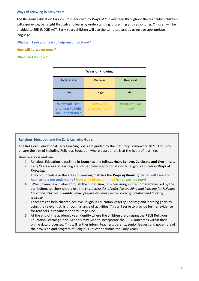### **Ways of Knowing in Early Years**

The Religious Education Curriculum is enriched by *Ways of Knowing* and throughout the curriculum children will experience, be taught through and learn by understanding, discerning and responding. Children will be enabled to SEE-JUDGE-ACT. Early Years children will use the same process by using age-appropriate language.

**What will I see and hear to help me understand?** 

**How will I discover more?** 

**What can I do now?**

| <b>Ways of Knowing</b>                                       |                                     |                       |
|--------------------------------------------------------------|-------------------------------------|-----------------------|
| Understand                                                   | <b>Discern</b>                      | Respond               |
| See                                                          | Judge                               | Act                   |
| <b>What will I see</b><br>and hear to help<br>me understand? | <b>How will I</b><br>discover more? | What can I do<br>now? |

#### **Religious Education and the Early Learning Goals**

The Religious Educational Early Learning Goals are guided by the Statutory Framework 2021. This is to ensure the aim of including Religious Education where appropriate is at the heart of learning.

**How to access and use…** 

- 1. Religious Education is outlined in **Branches** and follows **Hear, Believe, Celebrate and Live** lenses.
- 2. Early Years areas of learning are infused where appropriate with Religious Education *Ways of Knowing.*
- 3. The colour coding in the areas of learning matches the *Ways of Knowing***. What will I see and hear to help me understand? How will I discover more? What can I do now?**
- 4. When planning activities through the curriculum, or when using written programmes led by the curriculum, teachers should use the *characteristics of effective teaching and learning for Religious Education activities. – wonder, awe, playing, exploring, active learning, creating and thinking critically.*
- 5. Teachers can help children achieve Religious Education *Ways of Knowing* and learning goals by using the relevant skills through a range of activities. This will serve to provide further evidence for teachers in readiness for Key Stage One.
- 6. At the end of the academic year identify where the children are by using the **RELG** Religious Education Learning Goals. Schools may wish to incorporate the RELG outcomes within their online data processes. This will further inform teachers, parents, senior leaders and governors of the provision and progress of Religious Education within the Early Years.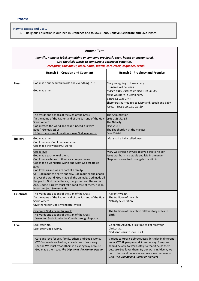#### **How to access and use…**

1. Religious Education is outlined in **Branches** and follows **Hear, Believe, Celebrate and Live** lenses.

|                                                                                                                                                                                                                                | <b>Autumn Term</b>                                                                                                                                                                                                                                                                                                                                                                                                                                                                      |                                                                                                                                                                                                                                                                                                                      |  |
|--------------------------------------------------------------------------------------------------------------------------------------------------------------------------------------------------------------------------------|-----------------------------------------------------------------------------------------------------------------------------------------------------------------------------------------------------------------------------------------------------------------------------------------------------------------------------------------------------------------------------------------------------------------------------------------------------------------------------------------|----------------------------------------------------------------------------------------------------------------------------------------------------------------------------------------------------------------------------------------------------------------------------------------------------------------------|--|
| Identify, name or label something or someone previously seen, heard or encountered.<br>Use the skills words to complete a variety of activities.<br>recognise, talk about, label, name, match, sort, retell, sequence, recall. |                                                                                                                                                                                                                                                                                                                                                                                                                                                                                         |                                                                                                                                                                                                                                                                                                                      |  |
|                                                                                                                                                                                                                                | <b>Branch 1 Creation and Covenant</b><br><b>Branch 2 Prophecy and Promise</b>                                                                                                                                                                                                                                                                                                                                                                                                           |                                                                                                                                                                                                                                                                                                                      |  |
| Hear                                                                                                                                                                                                                           | God made our beautiful world and everything in it.<br>God made me.                                                                                                                                                                                                                                                                                                                                                                                                                      | Mary was going to have a baby.<br>His name will be Jesus.<br>Mary's Baby is based on Luke 1:26-31,38.<br>Jesus was born in Bethlehem.<br>Based on Luke 2:4-7<br>Shepherds hurried to see Mary and Joseph and baby<br>Jesus. Based on Luke 2:8-20                                                                     |  |
|                                                                                                                                                                                                                                | The words and actions of the Sign of the Cross:<br>"In the name of the Father, and of the Son and of the Holy<br>Spirit. Amen"<br>God created the world and said, "Indeed it is very<br>good" (Genesis 1:31)<br>LS 84 - the whole of creation shows God love for us.                                                                                                                                                                                                                    | The Annunciation<br>Luke 1:26-31, 38<br>The Nativity<br>Luke 2: 4-7<br>The Shepherds visit the manger<br>Luke 2:8-20                                                                                                                                                                                                 |  |
| <b>Believe</b>                                                                                                                                                                                                                 | God made me.<br>God loves me. God loves everyone.<br>God made the wonderful world.                                                                                                                                                                                                                                                                                                                                                                                                      | Mary had a baby called Jesus                                                                                                                                                                                                                                                                                         |  |
|                                                                                                                                                                                                                                | God is love<br>God made each one of them.<br>God loves each one of them as a unique person.<br>God made a wonderful world and what God creates is<br>good.<br>God loves us and we are part of a family-<br>CST God made the earth and sky. God made all the people<br>all over the world. God made all the animals. God made all<br>the plants. God made the air, the ground and the water.<br>And, God tells us we must take good care of them. It is an<br>important job! Stewardship | Mary was chosen by God to give birth to his son<br>Jesus was born in a stable and laid in a manger<br>Shepherds were told by angels to visit him                                                                                                                                                                     |  |
| <b>Celebrate</b>                                                                                                                                                                                                               | The words and actions of the Sign of the Cross:<br>"In the name of the Father, and of the Son and of the Holy<br>Spirit. Amen"<br>Give thanks for God's Wonderful World                                                                                                                                                                                                                                                                                                                 | Advent Wreath.<br>The tradition of the crib<br>Nativity celebration                                                                                                                                                                                                                                                  |  |
|                                                                                                                                                                                                                                | Celebrate God's beautiful world<br>The words and actions of the Sign of the Cross.<br>We enter God's family the Church through Baptism                                                                                                                                                                                                                                                                                                                                                  | The tradition of the crib to tell the story of Jesus'<br>birth                                                                                                                                                                                                                                                       |  |
| Live                                                                                                                                                                                                                           | Look after me.<br>Look after God's world.                                                                                                                                                                                                                                                                                                                                                                                                                                               | Celebrate Advent, it is a time to get ready for<br>Christmas.<br>God sent Jesus to love us all                                                                                                                                                                                                                       |  |
|                                                                                                                                                                                                                                | Care and love for self, family, others and God's world.<br>CST God made each of us, so each one of us is very<br>special. We must treat others in a caring way because<br>God made them too. The Dignity of the Human Person                                                                                                                                                                                                                                                            | Various cultures celebrate Jesus' birthday in different<br>ways CST All people work in some way. Everyone<br>should be able to work safely so that it helps them<br>because God loves them. By our work in Advent, we<br>help others and ourselves and we show our love to<br>God. The Dignity and Rights of Workers |  |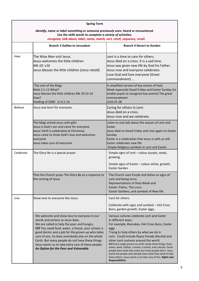| <b>Spring Term</b>                                                                                                                                                                                                             |                                                                                                                                                                                                                                                                                                                                                                                                                                               |                                                                                                                                                                                                                                                                                                                                                                                                                                                                                                                                                                                                             |  |
|--------------------------------------------------------------------------------------------------------------------------------------------------------------------------------------------------------------------------------|-----------------------------------------------------------------------------------------------------------------------------------------------------------------------------------------------------------------------------------------------------------------------------------------------------------------------------------------------------------------------------------------------------------------------------------------------|-------------------------------------------------------------------------------------------------------------------------------------------------------------------------------------------------------------------------------------------------------------------------------------------------------------------------------------------------------------------------------------------------------------------------------------------------------------------------------------------------------------------------------------------------------------------------------------------------------------|--|
| Identify, name or label something or someone previously seen, heard or encountered.<br>Use the skills words to complete a variety of activities.<br>recognise, talk about, label, name, match, sort, retell, sequence, recall. |                                                                                                                                                                                                                                                                                                                                                                                                                                               |                                                                                                                                                                                                                                                                                                                                                                                                                                                                                                                                                                                                             |  |
|                                                                                                                                                                                                                                | <b>Branch 3 Galilee to Jerusalem</b>                                                                                                                                                                                                                                                                                                                                                                                                          | <b>Branch 4 Desert to Garden</b>                                                                                                                                                                                                                                                                                                                                                                                                                                                                                                                                                                            |  |
| Hear                                                                                                                                                                                                                           | The Wise Men visit Jesus.<br>Jesus welcomes the little children.<br>Mk 10: v16<br>Jesus blesses the little children (story retold)                                                                                                                                                                                                                                                                                                            | Lent is a time to care for others.<br>Jesus died on a cross. It is a sad time.<br>Jesus was given new life by God his Father.<br>Jesus rose and everyone celebrates.<br>Love God and love everyone (Great<br>commandment)                                                                                                                                                                                                                                                                                                                                                                                   |  |
|                                                                                                                                                                                                                                | The visit of the Magi<br>Matt 2:1-12 What?<br>Jesus blesses the little children Mk 10:13-16<br>How?<br>Feeding of 5000 Jn 6:1-14                                                                                                                                                                                                                                                                                                              | A simplified version of key events of Holy<br>Week especially Good Friday and Easter Sunday (to<br>enable pupils to recognize key events) The great<br>commandment<br>Lk10:25-28                                                                                                                                                                                                                                                                                                                                                                                                                            |  |
| <b>Believe</b>                                                                                                                                                                                                                 | Jesus was born for everyone.                                                                                                                                                                                                                                                                                                                                                                                                                  | Caring for others in Lent.<br>Jesus died on a cross.<br>Jesus rose and we celebrate.                                                                                                                                                                                                                                                                                                                                                                                                                                                                                                                        |  |
|                                                                                                                                                                                                                                | The Magi visited Jesus with gifts<br>Jesus is God's son and came for everyone<br>Jesus' birth is celebrated at Christmas.<br>Jesus came to show God's love and welcomes<br>everyone<br>Jesus takes care of everyone.                                                                                                                                                                                                                          | Listen to and talk about the season of Lent and<br>Easter<br>Jesus died on Good Friday and rose again on Easter<br>Sunday<br>Easter is a celebration that Jesus is with us still<br>Easter celebrates new life<br>Simple Religious symbols in Lent and Easter                                                                                                                                                                                                                                                                                                                                               |  |
| Celebrate                                                                                                                                                                                                                      | The Glory Be is a special prayer.                                                                                                                                                                                                                                                                                                                                                                                                             | Simple signs of Lent - colour purple, seeds,<br>growing.<br>Simple signs of Easter - colour white, growth,                                                                                                                                                                                                                                                                                                                                                                                                                                                                                                  |  |
|                                                                                                                                                                                                                                | That the Church prays The Glory Be as a response to<br>the coming of Jesus                                                                                                                                                                                                                                                                                                                                                                    | <b>Faster Garden</b><br>The Church uses Purple and Ashes as signs of<br>Lent and being sorry.<br>Representations of Holy Week and<br>Easter: Palms, The cross-<br>Easter Gardens, and symbols of New life                                                                                                                                                                                                                                                                                                                                                                                                   |  |
| Live                                                                                                                                                                                                                           | Show love to everyone like Jesus.                                                                                                                                                                                                                                                                                                                                                                                                             | Care for others.<br>Celebrate with signs and symbols - Hot Cross<br>Buns, garden growth, Easter eggs,                                                                                                                                                                                                                                                                                                                                                                                                                                                                                                       |  |
|                                                                                                                                                                                                                                | We welcome and show love to everyone in our<br>words and actions as Jesus does.<br>We are called to help the poor and hungry.<br>CST You need food, water, a house, your school, a<br>good doctor and a job for the grown-up who takes<br>care of you. So does everybody else on the whole<br>Earth. But many people do not have these things.<br>Jesus wants us to take extra care of these people.<br>An Option for the Poor and Vulnerable | Various cultures celebrate Lent and Easter<br>in different ways:<br>For example, Pancakes, Hot Cross Buns, Easter<br>eggs<br>Trying to help others by what we do in<br>Lent. Could include Raasa Parade (Kerela) and<br>other Lent customs around the world<br>CST Every single person on earth needs these things: food,<br>water, work, clothes, a home, a school, and a doctor. Some<br>people have what they need, but many people don't. Jesus<br>wants the people who already have what they need to help<br>these others. Jesus wants us to take care of this. Rights and<br><b>Responsibilities</b> |  |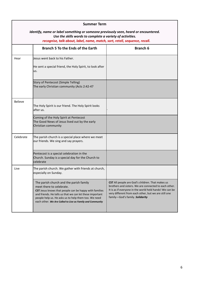| <b>Summer Term</b> |                                                                                                                                                                                                                                                                                                                |                                                                                                                                                                                                                                                                 |  |
|--------------------|----------------------------------------------------------------------------------------------------------------------------------------------------------------------------------------------------------------------------------------------------------------------------------------------------------------|-----------------------------------------------------------------------------------------------------------------------------------------------------------------------------------------------------------------------------------------------------------------|--|
|                    | Identify, name or label something or someone previously seen, heard or encountered.<br>Use the skills words to complete a variety of activities.<br>recognise, talk about, label, name, match, sort, retell, sequence, recall.                                                                                 |                                                                                                                                                                                                                                                                 |  |
|                    | <b>Branch 5 To the Ends of the Earth</b>                                                                                                                                                                                                                                                                       | <b>Branch 6</b>                                                                                                                                                                                                                                                 |  |
| Hear               | Jesus went back to his Father.<br>He sent a special friend, the Holy Spirit, to look after<br>us.                                                                                                                                                                                                              |                                                                                                                                                                                                                                                                 |  |
|                    | Story of Pentecost (Simple Telling)<br>The early Christian community (Acts 2:42-47                                                                                                                                                                                                                             |                                                                                                                                                                                                                                                                 |  |
| <b>Believe</b>     | The Holy Spirit is our friend. The Holy Spirit looks<br>after us.                                                                                                                                                                                                                                              |                                                                                                                                                                                                                                                                 |  |
|                    | Coming of the Holy Spirit at Pentecost<br>The Good News of Jesus lived out by the early<br>Christian community                                                                                                                                                                                                 |                                                                                                                                                                                                                                                                 |  |
| Celebrate          | The parish church is a special place where we meet<br>our friends. We sing and say prayers.                                                                                                                                                                                                                    |                                                                                                                                                                                                                                                                 |  |
|                    | Pentecost is a special celebration in the<br>Church. Sunday is a special day for the Church to<br>celebrate                                                                                                                                                                                                    |                                                                                                                                                                                                                                                                 |  |
| Live               | The parish church. We gather with friends at church,<br>especially on Sunday.                                                                                                                                                                                                                                  |                                                                                                                                                                                                                                                                 |  |
|                    | The parish church and the parish family<br>meet there to celebrate.<br>CST Jesus knows that people can be happy with families<br>and friends. He tells us that we can let these important<br>people help us. He asks us to help them too. We need<br>each other. We Are Called to Live as Family and Community | CST All people are God's children. That makes us<br>brothers and sisters. We are connected to each other.<br>It is as if everyone in the world held hands! We can be<br>very different from each other, but we are still one<br>family-God's family. Solidarity |  |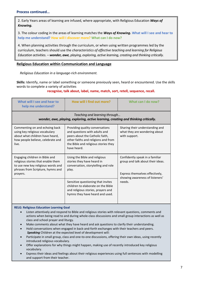### **Process continued…**

2. Early Years areas of learning are infused, where appropriate, with Religious Education *Ways of Knowing.* 

3. The colour coding in the areas of learning matches the *Ways of Knowing***. What will I see and hear to help me understand? How will I discover more? What can I do now?**

4. When planning activities through the curriculum, or when using written programmes led by the curriculum, teachers should use the *characteristics of effective teaching and learning for Religious Education activities. – wonder, awe, playing, exploring, active learning, creating and thinking critically.*

### **Religious Education within Communication and Language**

*Religious Education in a language-rich environment.*

**Skills:** Identify, name or label something or someone previously seen, heard or encountered. Use the skills words to complete a variety of activities

**recognise, talk about, label, name, match, sort, retell, sequence, recall.**

| What will I see and hear to<br>help me understand?                                                                                                          | How will I find out more?                                                                                                                                                                         | What can I do now?                                                                                                                         |  |
|-------------------------------------------------------------------------------------------------------------------------------------------------------------|---------------------------------------------------------------------------------------------------------------------------------------------------------------------------------------------------|--------------------------------------------------------------------------------------------------------------------------------------------|--|
| Teaching and learning through<br>wonder, awe, playing, exploring, active learning, creating and thinking critically.                                        |                                                                                                                                                                                                   |                                                                                                                                            |  |
| Commenting on and echoing back<br>using key religious vocabulary<br>about what children have heard,<br>how people believe, celebrate and<br>live.           | Providing quality conversations<br>and questions with adults and<br>peers about the Catholic faith,<br>other faiths and religions and from<br>the Bible and religious stories they<br>have heard. | Sharing their understanding and<br>what they are wondering about<br>with support.                                                          |  |
| Engaging children in Bible and<br>religious stories that enable them<br>to use new key religious words and<br>phrases from Scripture, hymns and<br>prayers. | Using the Bible and religious<br>stories they have heard in<br>conversation, storytelling and role<br>play.                                                                                       | Confidently speak in a familiar<br>group and talk about their ideas.<br>Express themselves effectively,<br>showing awareness of listeners' |  |
|                                                                                                                                                             | Sensitive questioning that invites<br>children to elaborate on the Bible<br>and religious stories, prayers and<br>hymns they have heard and used.                                                 | needs.                                                                                                                                     |  |

#### **RELG: Religious Education Learning Goal**

- Listen attentively and respond to Bible and religious stories with relevant questions, comments and actions when being read to and during whole-class discussions and small group interactions as well as class and school prayer and liturgy.
- Make comments about what they have heard and ask questions to clarify their understanding.
- Hold conversations when engaged in back-and-forth exchanges with their teachers and peers. *Speaking* Children at the expected level of development will:
- Participate in small group, class and one-to-one discussions, offering their own ideas, using recently introduced religious vocabulary.
- Offer explanations for why things might happen, making use of recently introduced key religious vocabulary.
- Express their ideas and feelings about their religious experiences using full sentences with modelling and support from their teacher.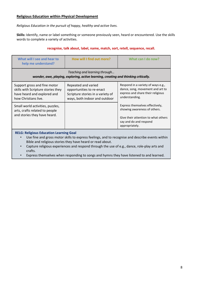# **Religious Education within Physical Development**

*Religious Education in the pursuit of happy, healthy and active lives.*

**Skills:** Identify, name or label something or someone previously seen, heard or encountered. Use the skills words to complete a variety of activities.

#### **recognise, talk about, label, name, match, sort, retell, sequence, recall.**

| What will I see and hear to<br>help me understand?                                                                                                                                                                            | How will I find out more?                                                                                              | What can I do now?                                                                                                                                 |  |
|-------------------------------------------------------------------------------------------------------------------------------------------------------------------------------------------------------------------------------|------------------------------------------------------------------------------------------------------------------------|----------------------------------------------------------------------------------------------------------------------------------------------------|--|
| Teaching and learning through<br>wonder, awe, playing, exploring, active learning, creating and thinking critically.                                                                                                          |                                                                                                                        |                                                                                                                                                    |  |
| Support gross and fine motor<br>skills with Scripture stories they<br>have heard and explored and<br>how Christians live.                                                                                                     | Repeated and varied<br>opportunities to re-enact<br>Scripture stories in a variety of<br>ways, both indoor and outdoor | Respond in a variety of ways e.g.,<br>dance, song, movement and art to<br>express and share their religious<br>understanding.                      |  |
| Small world activities, puzzles,<br>arts, crafts related to people<br>and stories they have heard.                                                                                                                            |                                                                                                                        | Express themselves effectively,<br>showing awareness of others.<br>Give their attention to what others<br>say and do and respond<br>appropriately. |  |
| <b>RELG: Religious Education Learning Goal</b><br>Use fine and gross motor skills to express feelings, and to recognise and describe events within<br>$\bullet$<br>Bible and religious stories they have heard or read about. |                                                                                                                        |                                                                                                                                                    |  |

• Capture religious experiences and respond through the use of e.g., dance, role-play arts and crafts.

• Express themselves when responding to songs and hymns they have listened to and learned.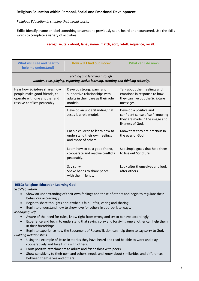# **Religious Education within Personal, Social and Emotional Development**

# *Religious Education in shaping their social world.*

**Skills:** Identify, name or label something or someone previously seen, heard or encountered. Use the skills words to complete a variety of activities.

## **recognise, talk about, label, name, match, sort, retell, sequence, recall.**

| What will I see and hear to<br>help me understand?                                                                             | How will I find out more?                                                                                  | What can I do now?                                                                                               |  |
|--------------------------------------------------------------------------------------------------------------------------------|------------------------------------------------------------------------------------------------------------|------------------------------------------------------------------------------------------------------------------|--|
| Teaching and learning through<br>wonder, awe, playing, exploring, active learning, creating and thinking critically.           |                                                                                                            |                                                                                                                  |  |
| Hear how Scripture shares how<br>people make good friends, co-<br>operate with one another and<br>resolve conflicts peaceably. | Develop strong, warm and<br>supportive relationships with<br>adults in their care as their role<br>models. | Talk about their feelings and<br>emotions in response to how<br>they can live out the Scripture<br>messages.     |  |
|                                                                                                                                | Develop an understanding that<br>Jesus is a role model.                                                    | Develop a positive and<br>confident sense of self, knowing<br>they are made in the image and<br>likeness of God. |  |
|                                                                                                                                | Enable children to learn how to<br>understand their own feelings<br>and those of others.                   | Know that they are precious in<br>the eyes of God.                                                               |  |
|                                                                                                                                | Learn how to be a good friend,<br>co-operate and resolve conflicts<br>peaceably.                           | Set simple goals that help them<br>to live out Scripture.                                                        |  |
|                                                                                                                                | Say sorry<br>Shake hands to share peace<br>with their friends.                                             | Look after themselves and look<br>after others.                                                                  |  |

#### **RELG: Religious Education Learning Goal**

*Self-Regulation* 

- Show an understanding of their own feelings and those of others and begin to regulate their behaviour accordingly.
- Begin to share thoughts about what is fair, unfair, caring and sharing.
- Begin to understand how to show love for others in appropriate ways.

*Managing Self* 

- Aware of the need for rules, know right from wrong and try to behave accordingly.
- Experience and begin to understand that saying sorry and forgiving one another can help them in their friendships.

• Begin to experience how the Sacrament of Reconciliation can help them to say sorry to God. *Building Relationships* 

- Using the example of Jesus in stories they have heard and read be able to work and play cooperatively and take turns with others.
- Form positive attachments to adults and friendships with peers.
- Show sensitivity to their own and others' needs and know about similarities and differences between themselves and others.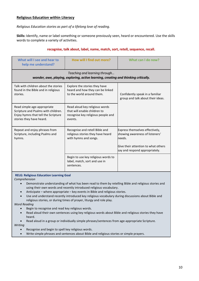# **Religious Education within Literacy**

*Religious Education stories as part of a lifelong love of reading.*

**Skills:** Identify, name or label something or someone previously seen, heard or encountered. Use the skills words to complete a variety of activities.

## **recognise, talk about, label, name, match, sort, retell, sequence, recall.**

| What will I see and hear to<br>help me understand?                                                                                    | How will I find out more?                                                                                       | What can I do now?                                                                                                                                    |  |
|---------------------------------------------------------------------------------------------------------------------------------------|-----------------------------------------------------------------------------------------------------------------|-------------------------------------------------------------------------------------------------------------------------------------------------------|--|
| Teaching and learning through<br>wonder, awe, playing, exploring, active learning, creating and thinking critically.                  |                                                                                                                 |                                                                                                                                                       |  |
| Talk with children about the stories<br>found in the Bible and in religious<br>stories.                                               | Explore the stories they have<br>heard and how they can be linked<br>to the world around them.                  | Confidently speak in a familiar<br>group and talk about their ideas.                                                                                  |  |
| Read simple age-appropriate<br>Scripture and Psalms with children.<br>Enjoy hymns that tell the Scripture<br>stories they have heard. | Read aloud key religious words<br>that will enable children to<br>recognise key religious people and<br>events. |                                                                                                                                                       |  |
| Repeat and enjoy phrases from<br>Scripture, including Psalms and<br>hymns.                                                            | Recognise and retell Bible and<br>religious stories they have heard<br>with hymns and songs.                    | Express themselves effectively,<br>showing awareness of listeners'<br>needs.<br>Give their attention to what others<br>say and respond appropriately. |  |
|                                                                                                                                       | Begin to use key religious words to<br>label, match, sort and use in<br>sentences.                              |                                                                                                                                                       |  |

**RELG: Religious Education Learning Goal**

*Comprehension* 

- Demonstrate understanding of what has been read to them by retelling Bible and religious stories and using their own words and recently introduced religious vocabulary.
- Anticipate where appropriate key events in Bible and religious stories.
- Use and understand recently introduced key religious vocabulary during discussions about Bible and religious stories, or during times of prayer, liturgy and role play.

*Word Reading* 

- Begin to recognise and read key religious words.
- Read aloud their own sentences using key religious words about Bible and religious stories they have heard.
- Read aloud in a group or individually simple phrases/sentences from age-appropriate Scripture.

*Writing* 

- Recognise and begin to spell key religious words.
- Write simple phrases and sentences about Bible and religious stories or simple prayers.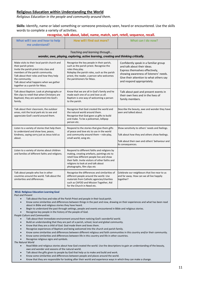# **Religious Education within Understanding the World**

*Religious Education in the people and community around them.*

**Skills:** Identify, name or label something or someone previously seen, heard or encountered. Use the skills words to complete a variety of activities.

| recognise, talk about, label, name, match, sort, retell, sequence, recall.                                                                                                                                                                                                                    |                                                                                                                                                                                                                                                                     |                                                                                                                                                                                                                            |  |
|-----------------------------------------------------------------------------------------------------------------------------------------------------------------------------------------------------------------------------------------------------------------------------------------------|---------------------------------------------------------------------------------------------------------------------------------------------------------------------------------------------------------------------------------------------------------------------|----------------------------------------------------------------------------------------------------------------------------------------------------------------------------------------------------------------------------|--|
| What will I see and hear to help<br>me understand?                                                                                                                                                                                                                                            | How will I find out more?                                                                                                                                                                                                                                           | What can I do now?                                                                                                                                                                                                         |  |
|                                                                                                                                                                                                                                                                                               | Teaching and learning through<br>wonder, awe, playing, exploring, active learning, creating and thinking critically.                                                                                                                                                |                                                                                                                                                                                                                            |  |
| Make visits to their local parish church and<br>their parish priest.<br>Invite the parish priest into class and<br>members of the parish community.<br>Talk about their roles and how they help<br>the community.<br>Talk about what happens when we gather<br>together as a parish for Mass. | Recognise the key people in their parish,<br>such as the parish priest. Recognise the<br>roles they play.<br>Roleplay the parish roles, such as the parish<br>priest, the reader, a person who welcomes<br>the parishioners for Mass.                               | Confidently speak in a familiar group<br>and talk about their ideas.<br>Express themselves effectively,<br>showing awareness of listeners' needs.<br>Give their attention to what others say<br>and respond appropriately. |  |
| Talk about Baptism. Look at photographs or<br>film clips to retell that when Christians are<br>Baptised, they are welcomed into God's<br>family.                                                                                                                                              | Know that we are all in God's family and he<br>made each one of us and love us all.<br>Baptism is one way of welcoming a person<br>to the parish.                                                                                                                   | Talk about past and present events in<br>their own lives and in the lives of<br>family members.                                                                                                                            |  |
| Talk about their classroom, the outdoor<br>areas, visit the local park etc to see and<br>appreciate God's world around them.                                                                                                                                                                  | Recognise that God created the world and<br>the natural world around them.<br>Recognise that God gave us gifts to build<br>and make. To be a policeman, lollipop<br>person etc.                                                                                     | Describe the beauty, awe and wonder they have<br>seen and talked about.                                                                                                                                                    |  |
| Listen to a variety of stories that help them<br>to understand and show love, peace,<br>kindness, saying sorry just as Jesus told us<br>about.                                                                                                                                                | Respond to the stories that give them gifts<br>of peace and love etc to use in the world<br>and community around them - role-play,<br>small world, song etc.                                                                                                        | Show sensitivity to others' needs and feelings.<br>Talk about how they and others show feelings.<br>Talk about their own and others' behaviour and<br>its consequences.                                                    |  |
| Listen to a variety of stories about children<br>and families of different faiths and religions.                                                                                                                                                                                              | Respond to different faiths and religions by<br>making, creating artefacts, paintings etc to<br>retell how different people live and show<br>their faith. Invite visitors of other faiths and<br>religions to look at and talk about<br>photographs, film clips etc |                                                                                                                                                                                                                            |  |
| Talk about people who live in other<br>countries around the world. Talk about the<br>similarities and differences.                                                                                                                                                                            | Recognise the differences and similarities of<br>different people around the world. Use<br>materials from Catholic agencies/charities<br>such as CAFOD and Mission Together, Aid<br>for the Church in Need etc.                                                     | Celebrate our neighbours that live near to us<br>and far away. How can we all live happily<br>together?                                                                                                                    |  |

#### **RELG: Religious Education Learning Goal**

*Past and Present* 

- Talk about the lives and roles of the Parish Priest and people in their local parish.
- Know some similarities and differences between things in the past and now, drawing on their experiences and what has been read about in Bible and religious stories they have heard.
- Begin to understand the past through settings, people and events encountered in Bible and religious stories.
- Recognise key people in the history of the people of God.

*People Culture and Communities* 

- Talk about their immediate environment around them noticing God's wonderful world.
- Build an understanding that they are part of a parish, school, local and global community.
- Know that they are a child of God. God made them and loves them.
- Recognise experiences of Baptism and being welcomed into the church and parish family.
- Know some similarities and differences between different religious and faith communities in this country and/or their community.
- Know some similarities and differences between life in this country and life in other countries.
- Recognise religious signs and symbols.

*The Natural World* 

- Read Bible and religious stories about how God created the world. Use the descriptions to gain an understanding of the beauty, awe and wonder and seasons of the natural world.
- Talk about the gifts given to people by God that help us to make and build and work.
- Know some similarities and differences between people and places around the world.
- Know that they are responsible for looking after their world and experience ways in which they can make a change.